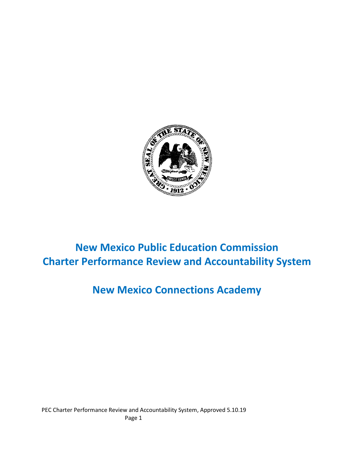

# **New Mexico Public Education Commission Charter Performance Review and Accountability System**

# **New Mexico Connections Academy**

PEC Charter Performance Review and Accountability System, Approved 5.10.19 Page 1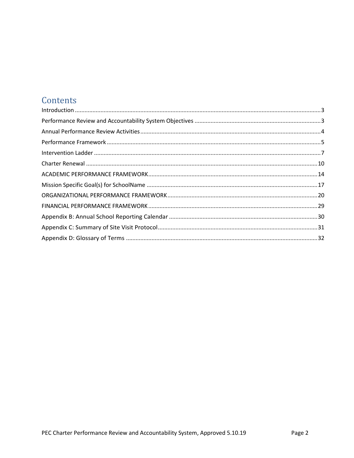## Contents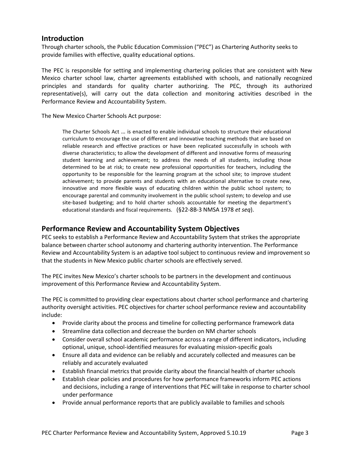### <span id="page-2-0"></span>**Introduction**

Through charter schools, the Public Education Commission ("PEC") as Chartering Authority seeks to provide families with effective, quality educational options.

The PEC is responsible for setting and implementing chartering policies that are consistent with New Mexico charter school law, charter agreements established with schools, and nationally recognized principles and standards for quality charter authorizing. The PEC, through its authorized representative(s), will carry out the data collection and monitoring activities described in the Performance Review and Accountability System.

The New Mexico Charter Schools Act purpose:

The Charter Schools Act … is enacted to enable individual schools to structure their educational curriculum to encourage the use of different and innovative teaching methods that are based on reliable research and effective practices or have been replicated successfully in schools with diverse characteristics; to allow the development of different and innovative forms of measuring student learning and achievement; to address the needs of all students, including those determined to be at risk; to create new professional opportunities for teachers, including the opportunity to be responsible for the learning program at the school site; to improve student achievement; to provide parents and students with an educational alternative to create new, innovative and more flexible ways of educating children within the public school system; to encourage parental and community involvement in the public school system; to develop and use site-based budgeting; and to hold charter schools accountable for meeting the department's educational standards and fiscal requirements. (§22-8B-3 NMSA 1978 *et seq*).

### <span id="page-2-1"></span>**Performance Review and Accountability System Objectives**

PEC seeks to establish a Performance Review and Accountability System that strikes the appropriate balance between charter school autonomy and chartering authority intervention. The Performance Review and Accountability System is an adaptive tool subject to continuous review and improvement so that the students in New Mexico public charter schools are effectively served.

The PEC invites New Mexico's charter schools to be partners in the development and continuous improvement of this Performance Review and Accountability System.

The PEC is committed to providing clear expectations about charter school performance and chartering authority oversight activities. PEC objectives for charter school performance review and accountability include:

- Provide clarity about the process and timeline for collecting performance framework data
- Streamline data collection and decrease the burden on NM charter schools
- Consider overall school academic performance across a range of different indicators, including optional, unique, school-identified measures for evaluating mission-specific goals
- Ensure all data and evidence can be reliably and accurately collected and measures can be reliably and accurately evaluated
- Establish financial metrics that provide clarity about the financial health of charter schools
- Establish clear policies and procedures for how performance frameworks inform PEC actions and decisions, including a range of interventions that PEC will take in response to charter school under performance
- Provide annual performance reports that are publicly available to families and schools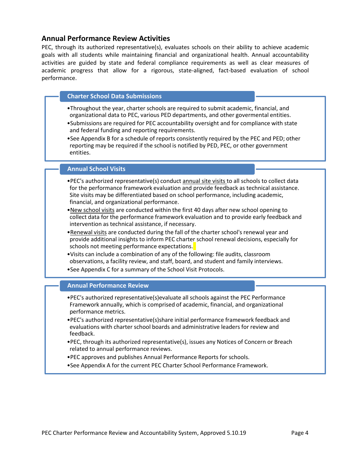### <span id="page-3-0"></span>**Annual Performance Review Activities**

PEC, through its authorized representative(s), evaluates schools on their ability to achieve academic goals with all students while maintaining financial and organizational health. Annual accountability activities are guided by state and federal compliance requirements as well as clear measures of academic progress that allow for a rigorous, state-aligned, fact-based evaluation of school performance.

#### **Charter School Data Submissions**

- •Throughout the year, charter schools are required to submit academic, financial, and organizational data to PEC, various PED departments, and other govermental entities.
- •Submissions are required for PEC accountability oversight and for compliance with state and federal funding and reporting requirements.
- •See Appendix B for a schedule of reports consistently required by the PEC and PED; other reporting may be required if the school is notified by PED, PEC, or other government entities.

#### **Annual School Visits**

- •PEC's authorized representative(s) conduct annual site visits to all schools to collect data for the performance framework evaluation and provide feedback as technical assistance. Site visits may be differentiated based on school performance, including academic, financial, and organizational performance.
- •New school visits are conducted within the first 40 days after new school opening to collect data for the performance framework evaluation and to provide early feedback and intervention as technical assistance, if necessary.
- •Renewal visits are conducted during the fall of the charter school's renewal year and provide additional insights to inform PEC charter school renewal decisions, especially for schools not meeting performance expectations.
- •Visits can include a combination of any of the following: file audits, classroom observations, a facility review, and staff, board, and student and family interviews.
- •See Appendix C for a summary of the School Visit Protocols.

#### **Annual Performance Review**

- •PEC's authorized representative(s)evaluate all schools against the PEC Performance Framework annually, which is comprised of academic, financial, and organizational performance metrics.
- •PEC's authorized representative(s)share initial performance framework feedback and evaluations with charter school boards and administrative leaders for review and feedback.
- •PEC, through its authorized representative(s), issues any Notices of Concern or Breach related to annual performance reviews.
- •PEC approves and publishes Annual Performance Reports for schools.
- •See Appendix A for the current PEC Charter School Performance Framework.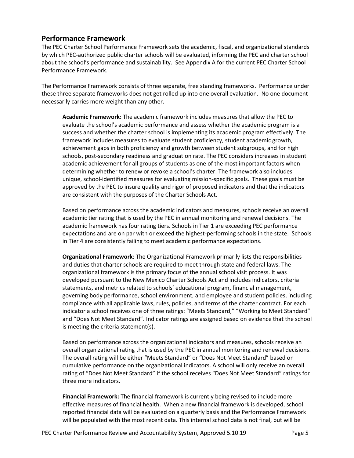## <span id="page-4-0"></span>**Performance Framework**

The PEC Charter School Performance Framework sets the academic, fiscal, and organizational standards by which PEC-authorized public charter schools will be evaluated, informing the PEC and charter school about the school's performance and sustainability. See Appendix A for the current PEC Charter School Performance Framework.

The Performance Framework consists of three separate, free standing frameworks. Performance under these three separate frameworks does not get rolled up into one overall evaluation. No one document necessarily carries more weight than any other.

**Academic Framework:** The academic framework includes measures that allow the PEC to evaluate the school's academic performance and assess whether the academic program is a success and whether the charter school is implementing its academic program effectively. The framework includes measures to evaluate student proficiency, student academic growth, achievement gaps in both proficiency and growth between student subgroups, and for high schools, post-secondary readiness and graduation rate. The PEC considers increases in student academic achievement for all groups of students as one of the most important factors when determining whether to renew or revoke a school's charter. The framework also includes unique, school-identified measures for evaluating mission-specific goals. These goals must be approved by the PEC to insure quality and rigor of proposed indicators and that the indicators are consistent with the purposes of the Charter Schools Act.

Based on performance across the academic indicators and measures, schools receive an overall academic tier rating that is used by the PEC in annual monitoring and renewal decisions. The academic framework has four rating tiers. Schools in Tier 1 are exceeding PEC performance expectations and are on par with or exceed the highest-performing schools in the state. Schools in Tier 4 are consistently failing to meet academic performance expectations.

**Organizational Framework**: The Organizational Framework primarily lists the responsibilities and duties that charter schools are required to meet through state and federal laws. The organizational framework is the primary focus of the annual school visit process. It was developed pursuant to the New Mexico Charter Schools Act and includes indicators, criteria statements, and metrics related to schools' educational program, financial management, governing body performance, school environment, and employee and student policies, including compliance with all applicable laws, rules, policies, and terms of the charter contract. For each indicator a school receives one of three ratings: "Meets Standard," "Working to Meet Standard" and "Does Not Meet Standard". Indicator ratings are assigned based on evidence that the school is meeting the criteria statement(s).

Based on performance across the organizational indicators and measures, schools receive an overall organizational rating that is used by the PEC in annual monitoring and renewal decisions. The overall rating will be either "Meets Standard" or "Does Not Meet Standard" based on cumulative performance on the organizational indicators. A school will only receive an overall rating of "Does Not Meet Standard" if the school receives "Does Not Meet Standard" ratings for three more indicators.

**Financial Framework:** The financial framework is currently being revised to include more effective measures of financial health. When a new financial framework is developed, school reported financial data will be evaluated on a quarterly basis and the Performance Framework will be populated with the most recent data. This internal school data is not final, but will be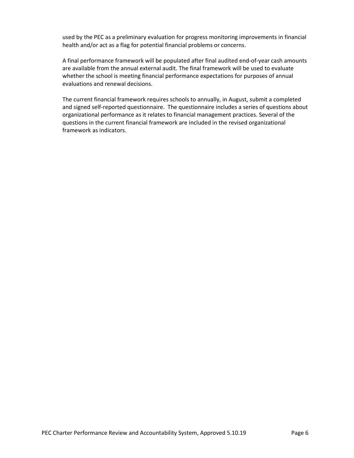used by the PEC as a preliminary evaluation for progress monitoring improvements in financial health and/or act as a flag for potential financial problems or concerns.

A final performance framework will be populated after final audited end-of-year cash amounts are available from the annual external audit. The final framework will be used to evaluate whether the school is meeting financial performance expectations for purposes of annual evaluations and renewal decisions.

The current financial framework requires schools to annually, in August, submit a completed and signed self-reported questionnaire. The questionnaire includes a series of questions about organizational performance as it relates to financial management practices. Several of the questions in the current financial framework are included in the revised organizational framework as indicators.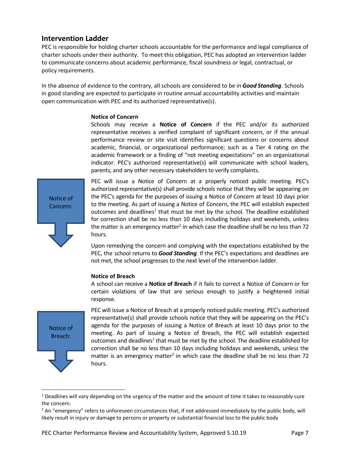### <span id="page-6-0"></span>**Intervention Ladder**

PEC is responsible for holding charter schools accountable for the performance and legal compliance of charter schools under their authority. To meet this obligation, PEC has adopted an intervention ladder to communicate concerns about academic performance, fiscal soundness or legal, contractual, or policy requirements.

In the absence of evidence to the contrary, all schools are considered to be in *Good Standing*. Schools in good standing are expected to participate in routine annual accountability activities and maintain open communication with PEC and its authorized representative(s).

#### **Notice of Concern**

Schools may receive a **Notice of Concern** if the PEC and/or its authorized representative receives a verified complaint of significant concern, or if the annual performance review or site visit identifies significant questions or concerns about academic, financial, or organizational performance; such as a Tier 4 rating on the academic framework or a finding of "not meeting expectations" on an organizational indicator. PEC's authorized representative(s) will communicate with school leaders, parents, and any other necessary stakeholders to verify complaints.

Notice of Concern:

PEC will issue a Notice of Concern at a properly noticed public meeting. PEC's authorized representative(s) shall provide schools notice that they will be appearing on the PEC's agenda for the purposes of issuing a Notice of Concern at least 10 days prior to the meeting. As part of issuing a Notice of Concern, the PEC will establish expected outcomes and deadlines<sup>1</sup> that must be met by the school. The deadline established for correction shall be no less than 10 days including holidays and weekends, unless the matter is an emergency matter<sup>2</sup> in which case the deadline shall be no less than 72 hours.

Upon remedying the concern and complying with the expectations established by the PEC, the school returns to *Good Standing*. If the PEC's expectations and deadlines are not met, the school progresses to the next level of the intervention ladder.

#### **Notice of Breach**

A school can receive a **Notice of Breach** if it fails to correct a Notice of Concern or for certain violations of law that are serious enough to justify a heightened initial response.



 $\overline{\phantom{a}}$ 

PEC will issue a Notice of Breach at a properly noticed public meeting. PEC's authorized representative(s) shall provide schools notice that they will be appearing on the PEC's agenda for the purposes of issuing a Notice of Breach at least 10 days prior to the meeting. As part of issuing a Notice of Breach, the PEC will establish expected outcomes and deadlines<sup>1</sup> that must be met by the school. The deadline established for correction shall be no less than 10 days including holidays and weekends, unless the matter is an emergency matter<sup>2</sup> in which case the deadline shall be no less than 72 hours.

<sup>&</sup>lt;sup>1</sup> Deadlines will vary depending on the urgency of the matter and the amount of time it takes to reasonably cure the concern.

<sup>&</sup>lt;sup>2</sup> An "emergency" refers to unforeseen circumstances that, if not addressed immediately by the public body, will likely result in injury or damage to persons or property or substantial financial loss to the public body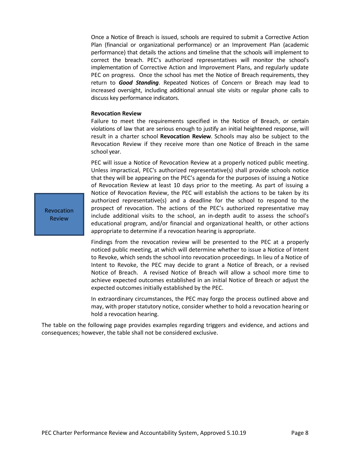Once a Notice of Breach is issued, schools are required to submit a Corrective Action Plan (financial or organizational performance) or an Improvement Plan (academic performance) that details the actions and timeline that the schools will implement to correct the breach. PEC's authorized representatives will monitor the school's implementation of Corrective Action and Improvement Plans, and regularly update PEC on progress. Once the school has met the Notice of Breach requirements, they return to *Good Standing*. Repeated Notices of Concern or Breach may lead to increased oversight, including additional annual site visits or regular phone calls to discuss key performance indicators.

#### **Revocation Review**

Failure to meet the requirements specified in the Notice of Breach, or certain violations of law that are serious enough to justify an initial heightened response, will result in a charter school **Revocation Review**. Schools may also be subject to the Revocation Review if they receive more than one Notice of Breach in the same school year.

PEC will issue a Notice of Revocation Review at a properly noticed public meeting. Unless impractical, PEC's authorized representative(s) shall provide schools notice that they will be appearing on the PEC's agenda for the purposes of issuing a Notice of Revocation Review at least 10 days prior to the meeting. As part of issuing a Notice of Revocation Review, the PEC will establish the actions to be taken by its authorized representative(s) and a deadline for the school to respond to the prospect of revocation. The actions of the PEC's authorized representative may include additional visits to the school, an in-depth audit to assess the school's educational program, and/or financial and organizational health, or other actions appropriate to determine if a revocation hearing is appropriate.

Findings from the revocation review will be presented to the PEC at a properly noticed public meeting, at which will determine whether to issue a Notice of Intent to Revoke, which sends the school into revocation proceedings. In lieu of a Notice of Intent to Revoke, the PEC may decide to grant a Notice of Breach, or a revised Notice of Breach. A revised Notice of Breach will allow a school more time to achieve expected outcomes established in an initial Notice of Breach or adjust the expected outcomes initially established by the PEC.

In extraordinary circumstances, the PEC may forgo the process outlined above and may, with proper statutory notice, consider whether to hold a revocation hearing or hold a revocation hearing.

The table on the following page provides examples regarding triggers and evidence, and actions and consequences; however, the table shall not be considered exclusive.

Revocation Review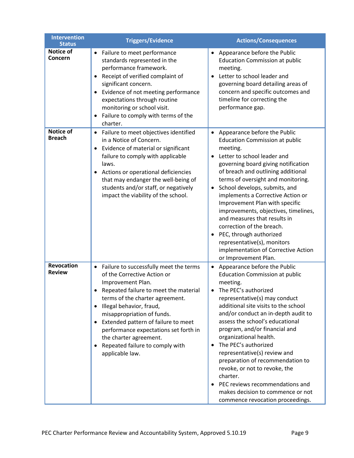| <b>Intervention</b><br><b>Status</b> | <b>Triggers/Evidence</b>                                                                                                                                                                                                                                                                                                                                                                                                                             | <b>Actions/Consequences</b>                                                                                                                                                                                                                                                                                                                                                                                                                                                                                                                                                                         |
|--------------------------------------|------------------------------------------------------------------------------------------------------------------------------------------------------------------------------------------------------------------------------------------------------------------------------------------------------------------------------------------------------------------------------------------------------------------------------------------------------|-----------------------------------------------------------------------------------------------------------------------------------------------------------------------------------------------------------------------------------------------------------------------------------------------------------------------------------------------------------------------------------------------------------------------------------------------------------------------------------------------------------------------------------------------------------------------------------------------------|
| <b>Notice of</b><br>Concern          | Failure to meet performance<br>standards represented in the<br>performance framework.<br>Receipt of verified complaint of<br>$\bullet$<br>significant concern.<br>Evidence of not meeting performance<br>$\bullet$<br>expectations through routine<br>monitoring or school visit.<br>Failure to comply with terms of the<br>$\bullet$<br>charter.                                                                                                    | Appearance before the Public<br><b>Education Commission at public</b><br>meeting.<br>Letter to school leader and<br>governing board detailing areas of<br>concern and specific outcomes and<br>timeline for correcting the<br>performance gap.                                                                                                                                                                                                                                                                                                                                                      |
| Notice of<br><b>Breach</b>           | Failure to meet objectives identified<br>$\bullet$<br>in a Notice of Concern.<br>Evidence of material or significant<br>$\bullet$<br>failure to comply with applicable<br>laws.<br>Actions or operational deficiencies<br>٠<br>that may endanger the well-being of<br>students and/or staff, or negatively<br>impact the viability of the school.                                                                                                    | Appearance before the Public<br>$\bullet$<br><b>Education Commission at public</b><br>meeting.<br>Letter to school leader and<br>governing board giving notification<br>of breach and outlining additional<br>terms of oversight and monitoring.<br>School develops, submits, and<br>$\bullet$<br>implements a Corrective Action or<br>Improvement Plan with specific<br>improvements, objectives, timelines,<br>and measures that results in<br>correction of the breach.<br>PEC, through authorized<br>representative(s), monitors<br>implementation of Corrective Action<br>or Improvement Plan. |
| Revocation<br><b>Review</b>          | Failure to successfully meet the terms<br>$\bullet$<br>of the Corrective Action or<br>Improvement Plan.<br>Repeated failure to meet the material<br>terms of the charter agreement.<br>Illegal behavior, fraud,<br>$\bullet$<br>misappropriation of funds.<br>Extended pattern of failure to meet<br>$\bullet$<br>performance expectations set forth in<br>the charter agreement.<br>Repeated failure to comply with<br>$\bullet$<br>applicable law. | Appearance before the Public<br><b>Education Commission at public</b><br>meeting.<br>The PEC's authorized<br>representative(s) may conduct<br>additional site visits to the school<br>and/or conduct an in-depth audit to<br>assess the school's educational<br>program, and/or financial and<br>organizational health.<br>The PEC's authorized<br>representative(s) review and<br>preparation of recommendation to<br>revoke, or not to revoke, the<br>charter.<br>PEC reviews recommendations and<br>makes decision to commence or not<br>commence revocation proceedings.                        |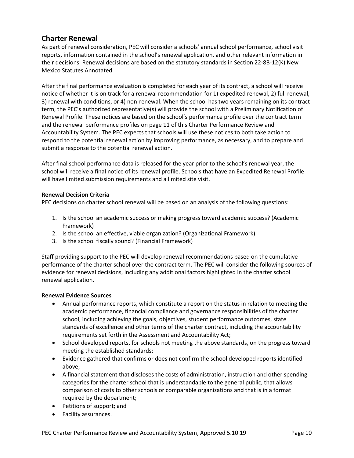## <span id="page-9-0"></span>**Charter Renewal**

As part of renewal consideration, PEC will consider a schools' annual school performance, school visit reports, information contained in the school's renewal application, and other relevant information in their decisions. Renewal decisions are based on the statutory standards in Section 22-8B-12(K) New Mexico Statutes Annotated.

After the final performance evaluation is completed for each year of its contract, a school will receive notice of whether it is on track for a renewal recommendation for 1) expedited renewal, 2) full renewal, 3) renewal with conditions, or 4) non-renewal. When the school has two years remaining on its contract term, the PEC's authorized representative(s) will provide the school with a Preliminary Notification of Renewal Profile. These notices are based on the school's performance profile over the contract term and the renewal performance profiles on page 11 of this Charter Performance Review and Accountability System. The PEC expects that schools will use these notices to both take action to respond to the potential renewal action by improving performance, as necessary, and to prepare and submit a response to the potential renewal action.

After final school performance data is released for the year prior to the school's renewal year, the school will receive a final notice of its renewal profile. Schools that have an Expedited Renewal Profile will have limited submission requirements and a limited site visit.

#### **Renewal Decision Criteria**

PEC decisions on charter school renewal will be based on an analysis of the following questions:

- 1. Is the school an academic success or making progress toward academic success? (Academic Framework)
- 2. Is the school an effective, viable organization? (Organizational Framework)
- 3. Is the school fiscally sound? (Financial Framework)

Staff providing support to the PEC will develop renewal recommendations based on the cumulative performance of the charter school over the contract term. The PEC will consider the following sources of evidence for renewal decisions, including any additional factors highlighted in the charter school renewal application.

#### **Renewal Evidence Sources**

- Annual performance reports, which constitute a report on the status in relation to meeting the academic performance, financial compliance and governance responsibilities of the charter school, including achieving the goals, objectives, student performance outcomes, state standards of excellence and other terms of the charter contract, including the accountability requirements set forth in the Assessment and Accountability Act;
- School developed reports, for schools not meeting the above standards, on the progress toward meeting the established standards;
- Evidence gathered that confirms or does not confirm the school developed reports identified above;
- A financial statement that discloses the costs of administration, instruction and other spending categories for the charter school that is understandable to the general public, that allows comparison of costs to other schools or comparable organizations and that is in a format required by the department;
- Petitions of support; and
- Facility assurances.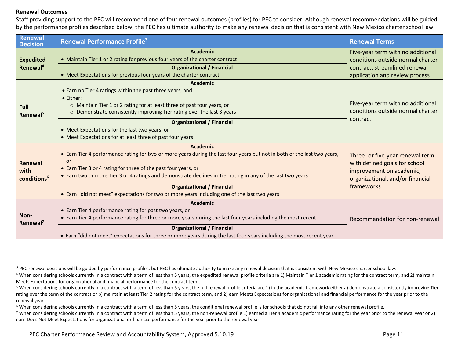#### **Renewal Outcomes**

 $\overline{a}$ 

Staff providing support to the PEC will recommend one of four renewal outcomes (profiles) for PEC to consider. Although renewal recommendations will be guided by the performance profiles described below, the PEC has ultimate authority to make any renewal decision that is consistent with New Mexico charter school law.

| Renewal<br><b>Decision</b>                 | <b>Renewal Performance Profile<sup>3</sup></b>                                                                                                                                                                                                                                                                                                 | <b>Renewal Terms</b>                                                                                                              |
|--------------------------------------------|------------------------------------------------------------------------------------------------------------------------------------------------------------------------------------------------------------------------------------------------------------------------------------------------------------------------------------------------|-----------------------------------------------------------------------------------------------------------------------------------|
| <b>Expedited</b><br>Renewal <sup>4</sup>   | <b>Academic</b><br>• Maintain Tier 1 or 2 rating for previous four years of the charter contract<br><b>Organizational / Financial</b>                                                                                                                                                                                                          | Five-year term with no additional<br>conditions outside normal charter<br>contract; streamlined renewal                           |
|                                            | • Meet Expectations for previous four years of the charter contract                                                                                                                                                                                                                                                                            | application and review process                                                                                                    |
| <b>Full</b><br>Renewal <sup>5</sup>        | <b>Academic</b><br>• Earn no Tier 4 ratings within the past three years, and<br>• Either:<br>o Maintain Tier 1 or 2 rating for at least three of past four years, or<br>Demonstrate consistently improving Tier rating over the last 3 years<br>$\circ$<br><b>Organizational / Financial</b><br>• Meet Expectations for the last two years, or | Five-year term with no additional<br>conditions outside normal charter<br>contract                                                |
|                                            | • Meet Expectations for at least three of past four years                                                                                                                                                                                                                                                                                      |                                                                                                                                   |
| Renewal<br>with<br>conditions <sup>6</sup> | <b>Academic</b><br>• Earn Tier 4 performance rating for two or more years during the last four years but not in both of the last two years,<br>or<br>• Earn Tier 3 or 4 rating for three of the past four years, or<br>• Earn two or more Tier 3 or 4 ratings and demonstrate declines in Tier rating in any of the last two years             | Three- or five-year renewal term<br>with defined goals for school<br>improvement on academic,<br>organizational, and/or financial |
|                                            | <b>Organizational / Financial</b><br>• Earn "did not meet" expectations for two or more years including one of the last two years                                                                                                                                                                                                              | frameworks                                                                                                                        |
| Non-<br>Renewal <sup>7</sup>               | <b>Academic</b><br>• Earn Tier 4 performance rating for past two years, or<br>• Earn Tier 4 performance rating for three or more years during the last four years including the most recent<br><b>Organizational / Financial</b>                                                                                                               | Recommendation for non-renewal                                                                                                    |
|                                            | • Earn "did not meet" expectations for three or more years during the last four years including the most recent year                                                                                                                                                                                                                           |                                                                                                                                   |

 $^3$  PEC renewal decisions will be guided by performance profiles, but PEC has ultimate authority to make any renewal decision that is consistent with New Mexico charter school law.

<sup>4</sup> When considering schools currently in a contract with a term of less than 5 years, the expedited renewal profile criteria are 1) Maintain Tier 1 academic rating for the contract term, and 2) maintain Meets Expectations for organizational and financial performance for the contract term.

<sup>5</sup> When considering schools currently in a contract with a term of less than 5 years, the full renewal profile criteria are 1) in the academic framework either a) demonstrate a consistently improving Tier rating over the term of the contract or b) maintain at least Tier 2 rating for the contract term, and 2) earn Meets Expectations for organizational and financial performance for the year prior to the renewal year.

<sup>&</sup>lt;sup>6</sup> When considering schools currently in a contract with a term of less than 5 years, the conditional renewal profile is for schools that do not fall into any other renewal profile.

<sup>7</sup> When considering schools currently in a contract with a term of less than 5 years, the non-renewal profile 1) earned a Tier 4 academic performance rating for the year prior to the renewal year or 2) earn Does Not Meet Expectations for organizational or financial performance for the year prior to the renewal year.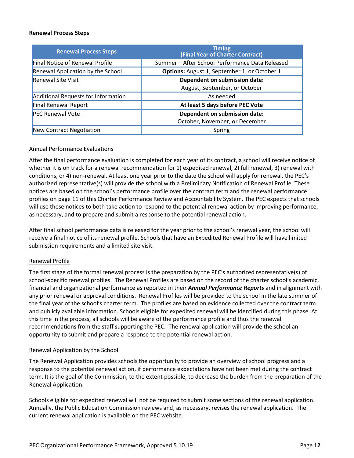#### **Renewal Process Steps**

| <b>Renewal Process Steps</b>               | <b>Timing</b><br>(Final Year of Charter Contract)               |
|--------------------------------------------|-----------------------------------------------------------------|
| <b>Final Notice of Renewal Profile</b>     | Summer - After School Performance Data Released                 |
| Renewal Application by the School          | Options: August 1, September 1, or October 1                    |
| <b>Renewal Site Visit</b>                  | Dependent on submission date:<br>August, September, or October  |
| <b>Additional Requests for Information</b> | As needed                                                       |
| <b>Final Renewal Report</b>                | At least 5 days before PEC Vote                                 |
| <b>PEC Renewal Vote</b>                    | Dependent on submission date:<br>October, November, or December |
| New Contract Negotiation                   | Spring                                                          |

#### Annual Performance Evaluations

After the final performance evaluation is completed for each year of its contract, a school will receive notice of whether it is on track for a renewal recommendation for 1) expedited renewal, 2) full renewal, 3) renewal with conditions, or 4) non-renewal. At least one year prior to the date the school will apply for renewal, the PEC's authorized representative(s) will provide the school with a Preliminary Notification of Renewal Profile. These notices are based on the school's performance profile over the contract term and the renewal performance profiles on page 11 of this Charter Performance Review and Accountability System. The PEC expects that schools will use these notices to both take action to respond to the potential renewal action by improving performance, as necessary, and to prepare and submit a response to the potential renewal action.

After final school performance data is released for the year prior to the school's renewal year, the school will receive a final notice of its renewal profile. Schools that have an Expedited Renewal Profile will have limited submission requirements and a limited site visit.

#### Renewal Profile

The first stage of the formal renewal process is the preparation by the PEC's authorized representative(s) of school-specific renewal profiles. The Renewal Profiles are based on the record of the charter school's academic, financial and organizational performance as reported in their *Annual Performance Reports* and in alignment with any prior renewal or approval conditions. Renewal Profiles will be provided to the school in the late summer of the final year of the school's charter term. The profiles are based on evidence collected over the contract term and publicly available information. Schools eligible for expedited renewal will be identified during this phase. At this time in the process, all schools will be aware of the performance profile and thus the renewal recommendations from the staff supporting the PEC. The renewal application will provide the school an opportunity to submit and prepare a response to the potential renewal action.

#### Renewal Application by the School

The Renewal Application provides schools the opportunity to provide an overview of school progress and a response to the potential renewal action, if performance expectations have not been met during the contract term. It is the goal of the Commission, to the extent possible, to decrease the burden from the preparation of the Renewal Application.

Schools eligible for expedited renewal will not be required to submit some sections of the renewal application. Annually, the Public Education Commission reviews and, as necessary, revises the renewal application. The current renewal application is available on the PEC website.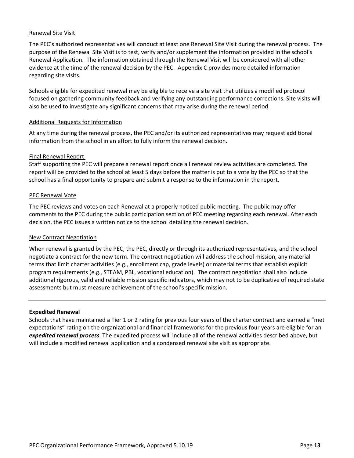#### Renewal Site Visit

The PEC's authorized representatives will conduct at least one Renewal Site Visit during the renewal process. The purpose of the Renewal Site Visit is to test, verify and/or supplement the information provided in the school's Renewal Application. The information obtained through the Renewal Visit will be considered with all other evidence at the time of the renewal decision by the PEC. Appendix C provides more detailed information regarding site visits.

Schools eligible for expedited renewal may be eligible to receive a site visit that utilizes a modified protocol focused on gathering community feedback and verifying any outstanding performance corrections. Site visits will also be used to investigate any significant concerns that may arise during the renewal period.

#### Additional Requests for Information

At any time during the renewal process, the PEC and/or its authorized representatives may request additional information from the school in an effort to fully inform the renewal decision.

#### Final Renewal Report

Staff supporting the PEC will prepare a renewal report once all renewal review activities are completed. The report will be provided to the school at least 5 days before the matter is put to a vote by the PEC so that the school has a final opportunity to prepare and submit a response to the information in the report.

#### PEC Renewal Vote

The PEC reviews and votes on each Renewal at a properly noticed public meeting. The public may offer comments to the PEC during the public participation section of PEC meeting regarding each renewal. After each decision, the PEC issues a written notice to the school detailing the renewal decision.

#### New Contract Negotiation

When renewal is granted by the PEC, the PEC, directly or through its authorized representatives, and the school negotiate a contract for the new term. The contract negotiation will address the school mission, any material terms that limit charter activities (e.g., enrollment cap, grade levels) or material terms that establish explicit program requirements (e.g., STEAM, PBL, vocational education). The contract negotiation shall also include additional rigorous, valid and reliable mission specific indicators, which may not to be duplicative of required state assessments but must measure achievement of the school's specific mission.

#### **Expedited Renewal**

Schools that have maintained a Tier 1 or 2 rating for previous four years of the charter contract and earned a "met expectations" rating on the organizational and financial frameworks for the previous four years are eligible for an *expedited renewal process*. The expedited process will include all of the renewal activities described above, but will include a modified renewal application and a condensed renewal site visit as appropriate.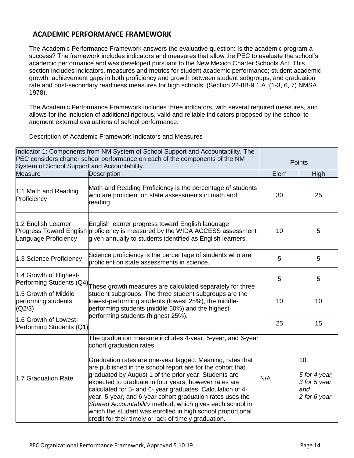## <span id="page-13-0"></span>**ACADEMIC PERFORMANCE FRAMEWORK**

The Academic Performance Framework answers the evaluative question: Is the academic program a success? The framework includes indicators and measures that allow the PEC to evaluate the school's academic performance and was developed pursuant to the New Mexico Charter Schools Act. This section includes indicators, measures and metrics for student academic performance; student academic growth; achievement gaps in both proficiency and growth between student subgroups; and graduation rate and post-secondary readiness measures for high schools. (Section 22-8B-9.1.A. (1-3, 6, 7) NMSA 1978).

The Academic Performance Framework includes three indicators, with several required measures, and allows for the inclusion of additional rigorous, valid and reliable indicators proposed by the school to augment external evaluations of school performance.

Description of Academic Framework Indicators and Measures

| System of School Support and Accountability.          | Indicator 1: Components from NM System of School Support and Accountability. The<br>PEC considers charter school performance on each of the components of the NM                                                                                                                                                                                                                                                                                                                                                                                                                                                                                  |      | Points                                                      |
|-------------------------------------------------------|---------------------------------------------------------------------------------------------------------------------------------------------------------------------------------------------------------------------------------------------------------------------------------------------------------------------------------------------------------------------------------------------------------------------------------------------------------------------------------------------------------------------------------------------------------------------------------------------------------------------------------------------------|------|-------------------------------------------------------------|
| <b>Measure</b>                                        | Description                                                                                                                                                                                                                                                                                                                                                                                                                                                                                                                                                                                                                                       | Elem | High                                                        |
| 1.1 Math and Reading<br>Proficiency                   | Math and Reading Proficiency is the percentage of students<br>who are proficient on state assessments in math and<br>reading.                                                                                                                                                                                                                                                                                                                                                                                                                                                                                                                     | 30   | 25                                                          |
| 1.2 English Learner<br>Language Proficiency           | English learner progress toward English language<br>Progress Toward English proficiency is measured by the WIDA ACCESS assessment<br>given annually to students identified as English learners.                                                                                                                                                                                                                                                                                                                                                                                                                                                   | 10   | 5                                                           |
| 1.3 Science Proficiency                               | Science proficiency is the percentage of students who are<br>proficient on state assessments in science.                                                                                                                                                                                                                                                                                                                                                                                                                                                                                                                                          | 5    | 5                                                           |
| 1.4 Growth of Highest-<br>Performing Students (Q4)    | These growth measures are calculated separately for three                                                                                                                                                                                                                                                                                                                                                                                                                                                                                                                                                                                         | 5    | 5                                                           |
| 1.5 Growth of Middle<br>performing students<br>(Q2/3) | student subgroups. The three student subgroups are the<br>lowest-performing students (lowest 25%), the middle-<br>performing students (middle 50%) and the highest-                                                                                                                                                                                                                                                                                                                                                                                                                                                                               | 10   | 10                                                          |
| 1.6 Growth of Lowest-<br>Performing Students (Q1)     | performing students (highest 25%).                                                                                                                                                                                                                                                                                                                                                                                                                                                                                                                                                                                                                | 25   | 15                                                          |
| 1.7 Graduation Rate                                   | The graduation measure includes 4-year, 5-year, and 6-year<br>cohort graduation rates.<br>Graduation rates are one-year lagged. Meaning, rates that<br>are published in the school report are for the cohort that<br>graduated by August 1 of the prior year. Students are<br>expected to graduate in four years, however rates are<br>calculated for 5- and 6- year graduates. Calculation of 4-<br>year, 5-year, and 6-year cohort graduation rates uses the<br>Shared Accountability method, which gives each school in<br>which the student was enrolled in high school proportional<br>credit for their timely or lack of timely graduation. | N/A  | 10<br>5 for 4 year,<br>3 for 5 year,<br>and<br>2 for 6 year |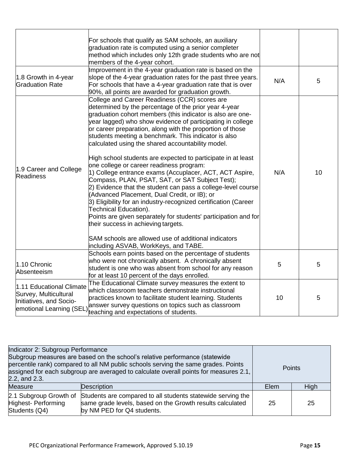|                                                                                                          | For schools that qualify as SAM schools, an auxiliary<br>graduation rate is computed using a senior completer<br>method which includes only 12th grade students who are not<br>members of the 4-year cohort.                                                                                                                                                                                                                                                                                                                                                                                                                                                                                                                                                                                                                                                                                                                                                                                                                                                 |     |    |
|----------------------------------------------------------------------------------------------------------|--------------------------------------------------------------------------------------------------------------------------------------------------------------------------------------------------------------------------------------------------------------------------------------------------------------------------------------------------------------------------------------------------------------------------------------------------------------------------------------------------------------------------------------------------------------------------------------------------------------------------------------------------------------------------------------------------------------------------------------------------------------------------------------------------------------------------------------------------------------------------------------------------------------------------------------------------------------------------------------------------------------------------------------------------------------|-----|----|
| 1.8 Growth in 4-year<br><b>Graduation Rate</b>                                                           | Improvement in the 4-year graduation rate is based on the<br>slope of the 4-year graduation rates for the past three years.<br>For schools that have a 4-year graduation rate that is over<br>90%, all points are awarded for graduation growth.                                                                                                                                                                                                                                                                                                                                                                                                                                                                                                                                                                                                                                                                                                                                                                                                             | N/A | 5  |
| 1.9 Career and College<br><b>Readiness</b>                                                               | College and Career Readiness (CCR) scores are<br>determined by the percentage of the prior year 4-year<br>graduation cohort members (this indicator is also are one-<br>year lagged) who show evidence of participating in college<br>or career preparation, along with the proportion of those<br>students meeting a benchmark. This indicator is also<br>calculated using the shared accountability model.<br>High school students are expected to participate in at least<br>one college or career readiness program:<br>1) College entrance exams (Accuplacer, ACT, ACT Aspire,<br>Compass, PLAN, PSAT, SAT, or SAT Subject Test);<br>2) Evidence that the student can pass a college-level course<br>(Advanced Placement, Dual Credit, or IB); or<br>3) Eligibility for an industry-recognized certification (Career<br>Technical Education).<br>Points are given separately for students' participation and for<br>their success in achieving targets.<br>SAM schools are allowed use of additional indicators<br>including ASVAB, WorkKeys, and TABE. | N/A | 10 |
| 1.10 Chronic<br>Absenteeism                                                                              | Schools earn points based on the percentage of students<br>who were not chronically absent. A chronically absent<br>student is one who was absent from school for any reason<br>for at least 10 percent of the days enrolled.                                                                                                                                                                                                                                                                                                                                                                                                                                                                                                                                                                                                                                                                                                                                                                                                                                | 5   | 5  |
| 1.11 Educational Climate<br>Survey, Multicultural<br>Initiatives, and Socio-<br>emotional Learning (SEL) | The Educational Climate survey measures the extent to<br>which classroom teachers demonstrate instructional<br>practices known to facilitate student learning. Students<br>answer survey questions on topics such as classroom<br>teaching and expectations of students.                                                                                                                                                                                                                                                                                                                                                                                                                                                                                                                                                                                                                                                                                                                                                                                     | 10  | 5  |

| Indicator 2: Subgroup Performance<br>Subgroup measures are based on the school's relative performance (statewide<br>percentile rank) compared to all NM public schools serving the same grades. Points<br>assigned for each subgroup are averaged to calculate overall points for measures 2.1,<br>2.2, and 2.3. |                                                                                                                                                        |      | <b>Points</b> |  |
|------------------------------------------------------------------------------------------------------------------------------------------------------------------------------------------------------------------------------------------------------------------------------------------------------------------|--------------------------------------------------------------------------------------------------------------------------------------------------------|------|---------------|--|
| <b>Measure</b>                                                                                                                                                                                                                                                                                                   | Description                                                                                                                                            | Elem | High          |  |
| 2.1 Subgroup Growth of<br>Highest- Performing<br>Students (Q4)                                                                                                                                                                                                                                                   | Students are compared to all students statewide serving the<br>same grade levels, based on the Growth results calculated<br>by NM PED for Q4 students. | 25   | 25            |  |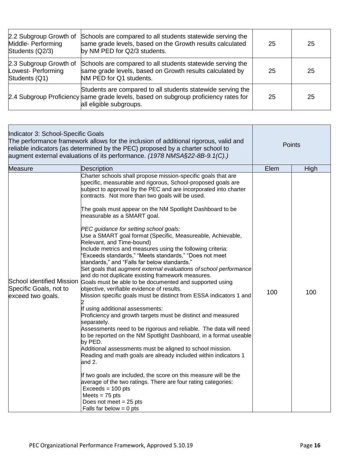| 2.2 Subgroup Growth of<br>Middle- Performing<br>Students (Q2/3) | Schools are compared to all students statewide serving the<br>same grade levels, based on the Growth results calculated<br>by NM PED for Q2/3 students.                       | 25 | 25 |
|-----------------------------------------------------------------|-------------------------------------------------------------------------------------------------------------------------------------------------------------------------------|----|----|
| 2.3 Subgroup Growth of<br>Lowest- Performing<br>Students (Q1)   | Schools are compared to all students statewide serving the<br>same grade levels, based on Growth results calculated by<br>NM PED for Q1 students.                             | 25 | 25 |
|                                                                 | Students are compared to all students statewide serving the<br>2.4 Subgroup Proficiency same grade levels, based on subgroup proficiency rates for<br>all eligible subgroups. | 25 | 25 |

| Indicator 3: School-Specific Goals<br>The performance framework allows for the inclusion of additional rigorous, valid and<br>reliable indicators (as determined by the PEC) proposed by a charter school to<br>augment external evaluations of its performance. (1978 NMSA§22-8B-9.1(C).) |                                                                                                                                                                                                                                                                                                                                                                                                                                                                                                                                                                                                                                                                                                                                                                                                                                                                                                                                                                                                                                                                                                                                                                                                                                                                                                                                                                                                                                                                                                                                                                                                                                    | Points |      |
|--------------------------------------------------------------------------------------------------------------------------------------------------------------------------------------------------------------------------------------------------------------------------------------------|------------------------------------------------------------------------------------------------------------------------------------------------------------------------------------------------------------------------------------------------------------------------------------------------------------------------------------------------------------------------------------------------------------------------------------------------------------------------------------------------------------------------------------------------------------------------------------------------------------------------------------------------------------------------------------------------------------------------------------------------------------------------------------------------------------------------------------------------------------------------------------------------------------------------------------------------------------------------------------------------------------------------------------------------------------------------------------------------------------------------------------------------------------------------------------------------------------------------------------------------------------------------------------------------------------------------------------------------------------------------------------------------------------------------------------------------------------------------------------------------------------------------------------------------------------------------------------------------------------------------------------|--------|------|
| <b>Measure</b>                                                                                                                                                                                                                                                                             | Description                                                                                                                                                                                                                                                                                                                                                                                                                                                                                                                                                                                                                                                                                                                                                                                                                                                                                                                                                                                                                                                                                                                                                                                                                                                                                                                                                                                                                                                                                                                                                                                                                        | Elem   | High |
| School identified Mission<br>Specific Goals, not to<br>exceed two goals.                                                                                                                                                                                                                   | Charter schools shall propose mission-specific goals that are<br>specific, measurable and rigorous, School-proposed goals are<br>subject to approval by the PEC and are incorporated into charter<br>contracts. Not more than two goals will be used.<br>The goals must appear on the NM Spotlight Dashboard to be<br>measurable as a SMART goal.<br>PEC guidance for setting school goals:<br>Use a SMART goal format (Specific, Measureable, Achievable,<br>Relevant, and Time-bound)<br>Include metrics and measures using the following criteria:<br>'Exceeds standards," "Meets standards," "Does not meet<br>standards," and "Falls far below standards."<br>Set goals that augment external evaluations of school performance<br>and do not duplicate existing framework measures.<br>Goals must be able to be documented and supported using<br>objective, verifiable evidence of results.<br>Mission specific goals must be distinct from ESSA indicators 1 and<br>If using additional assessments:<br>Proficiency and growth targets must be distinct and measured<br>separately.<br>Assessments need to be rigorous and reliable. The data will need<br>to be reported on the NM Spotlight Dashboard, in a format useable<br>by PED.<br>Additional assessments must be aligned to school mission.<br>Reading and math goals are already included within indicators 1<br>and 2.<br>If two goals are included, the score on this measure will be the<br>average of the two ratings. There are four rating categories:<br>$Exceeds = 100 pts$<br>Meets = $75$ pts<br>Does not meet $= 25$ pts<br>Falls far below $= 0$ pts | 100    | 100  |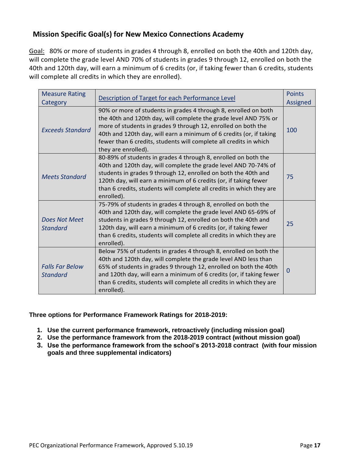## <span id="page-16-0"></span>**Mission Specific Goal(s) for New Mexico Connections Academy**

Goal: 80% or more of students in grades 4 through 8, enrolled on both the 40th and 120th day, will complete the grade level AND 70% of students in grades 9 through 12, enrolled on both the 40th and 120th day, will earn a minimum of 6 credits (or, if taking fewer than 6 credits, students will complete all credits in which they are enrolled).

| <b>Measure Rating</b><br>Category         | Description of Target for each Performance Level                                                                                                                                                                                                                                                                                                                        | <b>Points</b><br>Assigned |
|-------------------------------------------|-------------------------------------------------------------------------------------------------------------------------------------------------------------------------------------------------------------------------------------------------------------------------------------------------------------------------------------------------------------------------|---------------------------|
| <b>Exceeds Standard</b>                   | 90% or more of students in grades 4 through 8, enrolled on both<br>the 40th and 120th day, will complete the grade level AND 75% or<br>more of students in grades 9 through 12, enrolled on both the<br>40th and 120th day, will earn a minimum of 6 credits (or, if taking<br>fewer than 6 credits, students will complete all credits in which<br>they are enrolled). | 100                       |
| <b>Meets Standard</b>                     | 80-89% of students in grades 4 through 8, enrolled on both the<br>40th and 120th day, will complete the grade level AND 70-74% of<br>students in grades 9 through 12, enrolled on both the 40th and<br>120th day, will earn a minimum of 6 credits (or, if taking fewer<br>than 6 credits, students will complete all credits in which they are<br>enrolled).           | 75                        |
| Does Not Meet<br><b>Standard</b>          | 75-79% of students in grades 4 through 8, enrolled on both the<br>40th and 120th day, will complete the grade level AND 65-69% of<br>students in grades 9 through 12, enrolled on both the 40th and<br>120th day, will earn a minimum of 6 credits (or, if taking fewer<br>than 6 credits, students will complete all credits in which they are<br>enrolled).           | 25                        |
| <b>Falls Far Below</b><br><b>Standard</b> | Below 75% of students in grades 4 through 8, enrolled on both the<br>40th and 120th day, will complete the grade level AND less than<br>65% of students in grades 9 through 12, enrolled on both the 40th<br>and 120th day, will earn a minimum of 6 credits (or, if taking fewer<br>than 6 credits, students will complete all credits in which they are<br>enrolled). | $\Omega$                  |

**Three options for Performance Framework Ratings for 2018-2019:**

- **1. Use the current performance framework, retroactively (including mission goal)**
- **2. Use the performance framework from the 2018-2019 contract (without mission goal)**
- **3. Use the performance framework from the school's 2013-2018 contract (with four mission goals and three supplemental indicators)**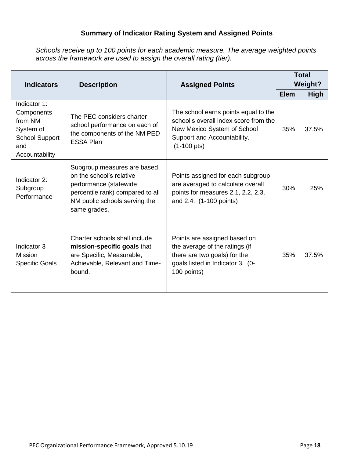## **Summary of Indicator Rating System and Assigned Points**

*Schools receive up to 100 points for each academic measure. The average weighted points across the framework are used to assign the overall rating (tier).*

| <b>Indicators</b><br><b>Description</b><br><b>Assigned Points</b>                                    |                                                                                                                                                                        |                                                                                                                                                                      |             | <b>Total</b><br><b>Weight?</b> |
|------------------------------------------------------------------------------------------------------|------------------------------------------------------------------------------------------------------------------------------------------------------------------------|----------------------------------------------------------------------------------------------------------------------------------------------------------------------|-------------|--------------------------------|
|                                                                                                      |                                                                                                                                                                        |                                                                                                                                                                      | <b>Elem</b> | <b>High</b>                    |
| Indicator 1:<br>Components<br>from NM<br>System of<br><b>School Support</b><br>and<br>Accountability | The PEC considers charter<br>school performance on each of<br>the components of the NM PED<br><b>ESSA Plan</b>                                                         | The school earns points equal to the<br>school's overall index score from the<br>New Mexico System of School<br>Support and Accountability.<br>$(1-100 \text{ pts})$ | 35%         | 37.5%                          |
| Indicator 2:<br>Subgroup<br>Performance                                                              | Subgroup measures are based<br>on the school's relative<br>performance (statewide<br>percentile rank) compared to all<br>NM public schools serving the<br>same grades. | Points assigned for each subgroup<br>are averaged to calculate overall<br>points for measures 2.1, 2.2, 2.3,<br>and 2.4. (1-100 points)                              | 30%         | 25%                            |
| Indicator 3<br><b>Mission</b><br><b>Specific Goals</b>                                               | Charter schools shall include<br>mission-specific goals that<br>are Specific, Measurable,<br>Achievable, Relevant and Time-<br>bound.                                  | Points are assigned based on<br>the average of the ratings (if<br>there are two goals) for the<br>goals listed in Indicator 3. (0-<br>100 points)                    | 35%         | 37.5%                          |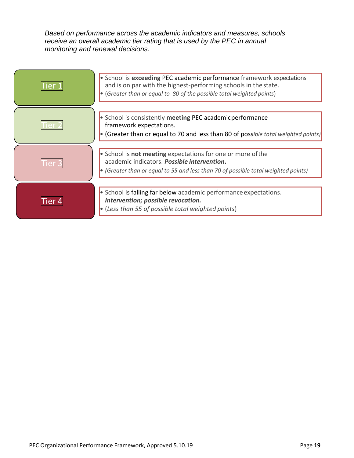*Based on performance across the academic indicators and measures, schools receive an overall academic tier rating that is used by the PEC in annual monitoring and renewal decisions.*

|         | • School is exceeding PEC academic performance framework expectations<br>and is on par with the highest-performing schools in the state.<br>• (Greater than or equal to 80 of the possible total weighted points) |
|---------|-------------------------------------------------------------------------------------------------------------------------------------------------------------------------------------------------------------------|
|         | • School is consistently meeting PEC academic performance<br>framework expectations.<br>• (Greater than or equal to 70 and less than 80 of possible total weighted points)                                        |
|         | • School is <b>not meeting</b> expectations for one or more of the<br>academic indicators. Possible intervention.<br>• (Greater than or equal to 55 and less than 70 of possible total weighted points)           |
| l ier i | • School is falling far below academic performance expectations.<br>Intervention; possible revocation.<br>$\bullet$ (Less than 55 of possible total weighted points)                                              |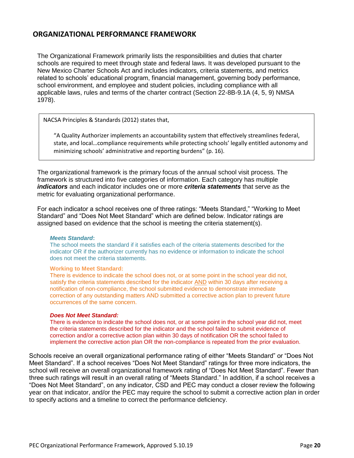## <span id="page-19-0"></span>**ORGANIZATIONAL PERFORMANCE FRAMEWORK**

The Organizational Framework primarily lists the responsibilities and duties that charter schools are required to meet through state and federal laws. It was developed pursuant to the New Mexico Charter Schools Act and includes indicators, criteria statements, and metrics related to schools' educational program, financial management, governing body performance, school environment, and employee and student policies, including compliance with all applicable laws, rules and terms of the charter contract (Section 22-8B-9.1A (4, 5, 9) NMSA 1978).

NACSA Principles & Standards (2012) states that,

"A Quality Authorizer implements an accountability system that effectively streamlines federal, state, and local…compliance requirements while protecting schools' legally entitled autonomy and minimizing schools' administrative and reporting burdens" (p. 16).

The organizational framework is the primary focus of the annual school visit process. The framework is structured into five categories of information. Each category has multiple *indicators* and each indicator includes one or more *criteria statements* that serve as the metric for evaluating organizational performance.

For each indicator a school receives one of three ratings: "Meets Standard," "Working to Meet Standard" and "Does Not Meet Standard" which are defined below. Indicator ratings are assigned based on evidence that the school is meeting the criteria statement(s).

#### *Meets Standard***:**

The school meets the standard if it satisfies each of the criteria statements described for the indicator OR if the authorizer currently has no evidence or information to indicate the school does not meet the criteria statements.

#### **Working to Meet Standard:**

There is evidence to indicate the school does not, or at some point in the school year did not, satisfy the criteria statements described for the indicator AND within 30 days after receiving a notification of non-compliance, the school submitted evidence to demonstrate immediate correction of any outstanding matters AND submitted a corrective action plan to prevent future occurrences of the same concern.

#### *Does Not Meet Standard:*

There is evidence to indicate the school does not, or at some point in the school year did not, meet the criteria statements described for the indicator and the school failed to submit evidence of correction and/or a corrective action plan within 30 days of notification OR the school failed to implement the corrective action plan OR the non-compliance is repeated from the prior evaluation.

Schools receive an overall organizational performance rating of either "Meets Standard" or "Does Not Meet Standard". If a school receives "Does Not Meet Standard" ratings for three more indicators, the school will receive an overall organizational framework rating of "Does Not Meet Standard". Fewer than three such ratings will result in an overall rating of "Meets Standard." In addition, if a school receives a "Does Not Meet Standard", on any indicator, CSD and PEC may conduct a closer review the following year on that indicator, and/or the PEC may require the school to submit a corrective action plan in order to specify actions and a timeline to correct the performance deficiency.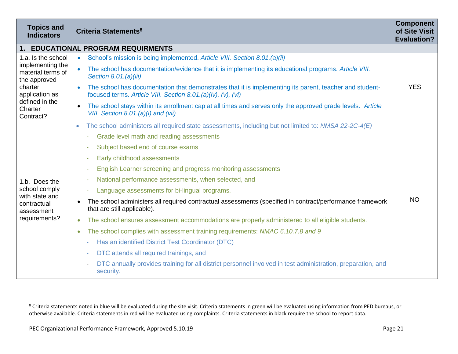| <b>Topics and</b><br><b>Indicators</b>                                                                                                             | Criteria Statements <sup>8</sup>                                                                                                                                                     | <b>Component</b><br>of Site Visit<br><b>Evaluation?</b> |
|----------------------------------------------------------------------------------------------------------------------------------------------------|--------------------------------------------------------------------------------------------------------------------------------------------------------------------------------------|---------------------------------------------------------|
|                                                                                                                                                    | 1. EDUCATIONAL PROGRAM REQUIRMENTS                                                                                                                                                   |                                                         |
| 1.a. Is the school<br>implementing the<br>material terms of<br>the approved<br>charter<br>application as<br>defined in the<br>Charter<br>Contract? | School's mission is being implemented. Article VIII. Section 8.01.(a)(ii)                                                                                                            | <b>YES</b>                                              |
|                                                                                                                                                    | The school has documentation/evidence that it is implementing its educational programs. Article VIII.<br>Section 8.01.(a)(iii)                                                       |                                                         |
|                                                                                                                                                    | The school has documentation that demonstrates that it is implementing its parent, teacher and student-<br>$\bullet$<br>focused terms. Article VIII. Section 8.01.(a)(iv), (v), (vi) |                                                         |
|                                                                                                                                                    | The school stays within its enrollment cap at all times and serves only the approved grade levels. Article<br>$\bullet$<br>VIII. Section 8.01.(a)(i) and (vii)                       |                                                         |
|                                                                                                                                                    | The school administers all required state assessments, including but not limited to: NMSA 22-2C-4(E)<br>$\bullet$                                                                    | <b>NO</b>                                               |
|                                                                                                                                                    | Grade level math and reading assessments                                                                                                                                             |                                                         |
|                                                                                                                                                    | Subject based end of course exams<br>٠                                                                                                                                               |                                                         |
|                                                                                                                                                    | Early childhood assessments<br>٠                                                                                                                                                     |                                                         |
|                                                                                                                                                    | English Learner screening and progress monitoring assessments<br>٠                                                                                                                   |                                                         |
| 1.b. Does the                                                                                                                                      | National performance assessments, when selected, and<br>٠                                                                                                                            |                                                         |
| school comply                                                                                                                                      | Language assessments for bi-lingual programs.<br>÷,                                                                                                                                  |                                                         |
| with state and<br>contractual<br>assessment                                                                                                        | The school administers all required contractual assessments (specified in contract/performance framework<br>$\bullet$<br>that are still applicable).                                 |                                                         |
| requirements?                                                                                                                                      | The school ensures assessment accommodations are properly administered to all eligible students.<br>$\bullet$                                                                        |                                                         |
|                                                                                                                                                    | The school complies with assessment training requirements: NMAC 6.10.7.8 and 9<br>$\bullet$                                                                                          |                                                         |
|                                                                                                                                                    | Has an identified District Test Coordinator (DTC)<br>٠                                                                                                                               |                                                         |
|                                                                                                                                                    | DTC attends all required trainings, and<br>٠                                                                                                                                         |                                                         |
|                                                                                                                                                    | DTC annually provides training for all district personnel involved in test administration, preparation, and<br>security.                                                             |                                                         |

 $\overline{a}$ 

<sup>&</sup>lt;sup>8</sup> Criteria statements noted in blue will be evaluated during the site visit. Criteria statements in green will be evaluated using information from PED bureaus, or otherwise available. Criteria statements in red will be evaluated using complaints. Criteria statements in black require the school to report data.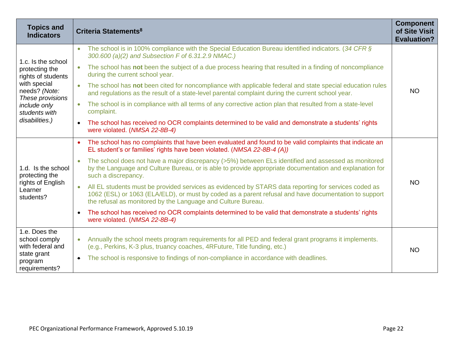| <b>Topics and</b><br><b>Indicators</b>                                                                                                                             | Criteria Statements <sup>8</sup>                                                                                                                                                                                                                                                          | <b>Component</b><br>of Site Visit<br><b>Evaluation?</b> |
|--------------------------------------------------------------------------------------------------------------------------------------------------------------------|-------------------------------------------------------------------------------------------------------------------------------------------------------------------------------------------------------------------------------------------------------------------------------------------|---------------------------------------------------------|
| 1.c. Is the school<br>protecting the<br>rights of students<br>with special<br>needs? (Note:<br>These provisions<br>include only<br>students with<br>disabilities.) | The school is in 100% compliance with the Special Education Bureau identified indicators. (34 CFR $\S$<br>$\bullet$<br>300.600 (a)(2) and Subsection F of 6.31.2.9 NMAC.)                                                                                                                 | <b>NO</b>                                               |
|                                                                                                                                                                    | The school has not been the subject of a due process hearing that resulted in a finding of noncompliance<br>$\bullet$<br>during the current school year.                                                                                                                                  |                                                         |
|                                                                                                                                                                    | The school has not been cited for noncompliance with applicable federal and state special education rules<br>$\bullet$<br>and regulations as the result of a state-level parental complaint during the current school year.                                                               |                                                         |
|                                                                                                                                                                    | The school is in compliance with all terms of any corrective action plan that resulted from a state-level<br>$\bullet$<br>complaint.                                                                                                                                                      |                                                         |
|                                                                                                                                                                    | The school has received no OCR complaints determined to be valid and demonstrate a students' rights<br>$\bullet$<br>were violated. (NMSA 22-8B-4)                                                                                                                                         |                                                         |
| 1.d. Is the school<br>protecting the<br>rights of English<br>Learner<br>students?                                                                                  | The school has no complaints that have been evaluated and found to be valid complaints that indicate an<br>$\bullet$<br>EL student's or families' rights have been violated. (NMSA 22-8B-4 (A))                                                                                           | <b>NO</b>                                               |
|                                                                                                                                                                    | The school does not have a major discrepancy (>5%) between ELs identified and assessed as monitored<br>by the Language and Culture Bureau, or is able to provide appropriate documentation and explanation for<br>such a discrepancy.                                                     |                                                         |
|                                                                                                                                                                    | All EL students must be provided services as evidenced by STARS data reporting for services coded as<br>$\bullet$<br>1062 (ESL) or 1063 (ELA/ELD), or must by coded as a parent refusal and have documentation to support<br>the refusal as monitored by the Language and Culture Bureau. |                                                         |
|                                                                                                                                                                    | The school has received no OCR complaints determined to be valid that demonstrate a students' rights<br>$\bullet$<br>were violated. (NMSA 22-8B-4)                                                                                                                                        |                                                         |
| 1.e. Does the<br>school comply<br>with federal and                                                                                                                 | Annually the school meets program requirements for all PED and federal grant programs it implements.<br>$\bullet$<br>(e.g., Perkins, K-3 plus, truancy coaches, 4RFuture, Title funding, etc.)                                                                                            | <b>NO</b>                                               |
| state grant<br>program<br>requirements?                                                                                                                            | The school is responsive to findings of non-compliance in accordance with deadlines.<br>$\bullet$                                                                                                                                                                                         |                                                         |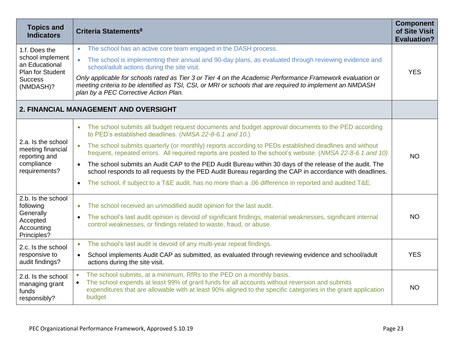| <b>Topics and</b><br><b>Indicators</b>                                                                        | Criteria Statements <sup>8</sup>                                                                                                                                                                                                                                                                                            | <b>Component</b><br>of Site Visit<br><b>Evaluation?</b> |
|---------------------------------------------------------------------------------------------------------------|-----------------------------------------------------------------------------------------------------------------------------------------------------------------------------------------------------------------------------------------------------------------------------------------------------------------------------|---------------------------------------------------------|
| 1.f. Does the<br>school implement<br>an Educational<br><b>Plan for Student</b><br><b>Success</b><br>(NMDASH)? | The school has an active core team engaged in the DASH process.<br>$\bullet$                                                                                                                                                                                                                                                |                                                         |
|                                                                                                               | The school is implementing their annual and 90-day plans, as evaluated through reviewing evidence and<br>$\bullet$<br>school/adult actions during the site visit.                                                                                                                                                           | <b>YES</b>                                              |
|                                                                                                               | Only applicable for schools rated as Tier 3 or Tier 4 on the Academic Performance Framework evaluation or<br>meeting criteria to be identified as TSI, CSI, or MRI or schools that are required to implement an NMDASH<br>plan by a PEC Corrective Action Plan.                                                             |                                                         |
|                                                                                                               | <b>2. FINANCIAL MANAGEMENT AND OVERSIGHT</b>                                                                                                                                                                                                                                                                                |                                                         |
|                                                                                                               | The school submits all budget request documents and budget approval documents to the PED according<br>$\bullet$<br>to PED's established deadlines. (NMSA 22-8-6.1 and 10.)                                                                                                                                                  |                                                         |
| 2.a. Is the school<br>meeting financial<br>reporting and<br>compliance<br>requirements?                       | The school submits quarterly (or monthly) reports according to PEDs established deadlines and without<br>frequent, repeated errors. All required reports are posted to the school's website. (NMSA 22-8-6.1 and 10)                                                                                                         | <b>NO</b>                                               |
|                                                                                                               | The school submits an Audit CAP to the PED Audit Bureau within 30 days of the release of the audit. The<br>school responds to all requests by the PED Audit Bureau regarding the CAP in accordance with deadlines.                                                                                                          |                                                         |
|                                                                                                               | The school, if subject to a T&E audit, has no more than a .06 difference in reported and audited T&E.<br>$\bullet$                                                                                                                                                                                                          |                                                         |
| 2.b. Is the school<br>following                                                                               | The school received an unmodified audit opinion for the last audit.<br>$\bullet$                                                                                                                                                                                                                                            |                                                         |
| Generally<br>Accepted<br>Accounting<br>Principles?                                                            | The school's last audit opinion is devoid of significant findings, material weaknesses, significant internal<br>$\bullet$<br>control weaknesses, or findings related to waste, fraud, or abuse.                                                                                                                             | <b>NO</b>                                               |
| 2.c. Is the school                                                                                            | The school's last audit is devoid of any multi-year repeat findings.<br>$\bullet$                                                                                                                                                                                                                                           |                                                         |
| responsive to<br>audit findings?                                                                              | School implements Audit CAP as submitted, as evaluated through reviewing evidence and school/adult<br>$\bullet$<br>actions during the site visit.                                                                                                                                                                           | <b>YES</b>                                              |
| 2.d. Is the school<br>managing grant<br>funds<br>responsibly?                                                 | The school submits, at a minimum, RfRs to the PED on a monthly basis.<br>$\bullet$<br>The school expends at least 99% of grant funds for all accounts without reversion and submits<br>$\bullet$<br>expenditures that are allowable with at least 90% aligned to the specific categories in the grant application<br>budget | <b>NO</b>                                               |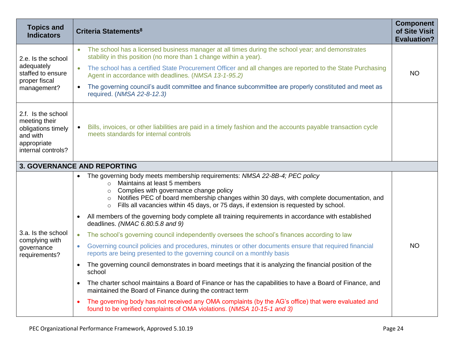| <b>Topics and</b><br><b>Indicators</b>                                                                     | Criteria Statements <sup>8</sup>                                                                                                                                                                                                                                                                                                                                                                   | <b>Component</b><br>of Site Visit<br><b>Evaluation?</b> |
|------------------------------------------------------------------------------------------------------------|----------------------------------------------------------------------------------------------------------------------------------------------------------------------------------------------------------------------------------------------------------------------------------------------------------------------------------------------------------------------------------------------------|---------------------------------------------------------|
| 2.e. Is the school<br>adequately<br>staffed to ensure<br>proper fiscal<br>management?                      | The school has a licensed business manager at all times during the school year; and demonstrates<br>stability in this position (no more than 1 change within a year).                                                                                                                                                                                                                              |                                                         |
|                                                                                                            | The school has a certified State Procurement Officer and all changes are reported to the State Purchasing<br>$\bullet$<br>Agent in accordance with deadlines. (NMSA 13-1-95.2)                                                                                                                                                                                                                     | <b>NO</b>                                               |
|                                                                                                            | The governing council's audit committee and finance subcommittee are properly constituted and meet as<br>$\bullet$<br>required. (NMSA 22-8-12.3)                                                                                                                                                                                                                                                   |                                                         |
| 2.f. Is the school<br>meeting their<br>obligations timely<br>and with<br>appropriate<br>internal controls? | Bills, invoices, or other liabilities are paid in a timely fashion and the accounts payable transaction cycle<br>meets standards for internal controls                                                                                                                                                                                                                                             |                                                         |
|                                                                                                            | <b>3. GOVERNANCE AND REPORTING</b>                                                                                                                                                                                                                                                                                                                                                                 |                                                         |
|                                                                                                            | The governing body meets membership requirements: NMSA 22-8B-4; PEC policy<br>$\bullet$<br>Maintains at least 5 members<br>$\circ$<br>Complies with governance change policy<br>$\circ$<br>Notifies PEC of board membership changes within 30 days, with complete documentation, and<br>$\circ$<br>Fills all vacancies within 45 days, or 75 days, if extension is requested by school.<br>$\circ$ |                                                         |
|                                                                                                            | All members of the governing body complete all training requirements in accordance with established<br>deadlines. (NMAC 6.80.5.8 and 9)                                                                                                                                                                                                                                                            |                                                         |
| 3.a. Is the school                                                                                         | The school's governing council independently oversees the school's finances according to law<br>$\bullet$                                                                                                                                                                                                                                                                                          |                                                         |
| complying with<br>governance<br>requirements?                                                              | Governing council policies and procedures, minutes or other documents ensure that required financial<br>$\bullet$<br>reports are being presented to the governing council on a monthly basis                                                                                                                                                                                                       | <b>NO</b>                                               |
|                                                                                                            | The governing council demonstrates in board meetings that it is analyzing the financial position of the<br>$\bullet$<br>school                                                                                                                                                                                                                                                                     |                                                         |
|                                                                                                            | The charter school maintains a Board of Finance or has the capabilities to have a Board of Finance, and<br>$\bullet$<br>maintained the Board of Finance during the contract term                                                                                                                                                                                                                   |                                                         |
|                                                                                                            | The governing body has not received any OMA complaints (by the AG's office) that were evaluated and<br>$\bullet$<br>found to be verified complaints of OMA violations. (NMSA 10-15-1 and 3)                                                                                                                                                                                                        |                                                         |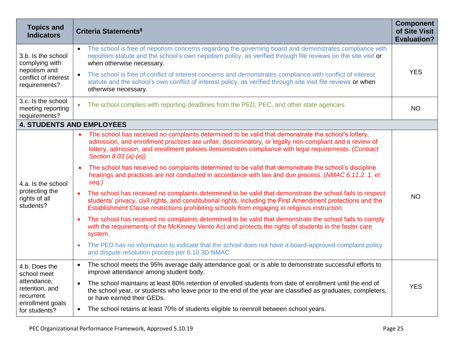| <b>Topics and</b><br><b>Indicators</b>                                                                          | Criteria Statements <sup>8</sup>                                                                                                                                                                                                                                                                                                                   | <b>Component</b><br>of Site Visit<br><b>Evaluation?</b> |
|-----------------------------------------------------------------------------------------------------------------|----------------------------------------------------------------------------------------------------------------------------------------------------------------------------------------------------------------------------------------------------------------------------------------------------------------------------------------------------|---------------------------------------------------------|
| 3.b. Is the school<br>complying with<br>nepotism and<br>conflict of interest<br>requirements?                   | The school is free of nepotism concerns regarding the governing board and demonstrates compliance with<br>nepotism statute and the school's own nepotism policy, as verified through file reviews on the site visit or<br>when otherwise necessary.                                                                                                |                                                         |
|                                                                                                                 | The school is free of conflict of interest concerns and demonstrates compliance with conflict of interest<br>$\bullet$<br>statute and the school's own conflict of interest policy, as verified through site visit file reviews or when<br>otherwise necessary.                                                                                    | <b>YES</b>                                              |
| 3.c. Is the school<br>meeting reporting<br>requirements?                                                        | The school complies with reporting deadlines from the PED, PEC, and other state agencies.                                                                                                                                                                                                                                                          | <b>NO</b>                                               |
| <b>4. STUDENTS AND EMPLOYEES</b>                                                                                |                                                                                                                                                                                                                                                                                                                                                    |                                                         |
| 4.a. Is the school<br>protecting the<br>rights of all<br>students?                                              | The school has received no complaints determined to be valid that demonstrate the school's lottery,<br>admission, and enrollment practices are unfair, discriminatory, or legally non-compliant and a review of<br>lottery, admission, and enrollment policies demonstrates compliance with legal requirements. (Contract<br>Section 8.03 (a)-(e)) |                                                         |
|                                                                                                                 | The school has received no complaints determined to be valid that demonstrate the school's discipline<br>$\bullet$<br>hearings and practices are not conducted in accordance with law and due process. (NMAC 6.11.2. 1, et<br>seq.)                                                                                                                |                                                         |
|                                                                                                                 | The school has received no complaints determined to be valid that demonstrate the school fails to respect<br>$\bullet$<br>students' privacy, civil rights, and constitutional rights, including the First Amendment protections and the<br>Establishment Clause restrictions prohibiting schools from engaging in religious instruction.           | <b>NO</b>                                               |
|                                                                                                                 | The school has received no complaints determined to be valid that demonstrate the school fails to comply<br>with the requirements of the McKinney Vento Act and protects the rights of students in the foster care<br>system.                                                                                                                      |                                                         |
|                                                                                                                 | The PED has no information to indicate that the school does not have a board-approved complaint policy<br>$\bullet$<br>and dispute resolution process per 6.10.3D NMAC                                                                                                                                                                             |                                                         |
| 4.b. Does the<br>school meet<br>attendance,<br>retention, and<br>recurrent<br>enrollment goals<br>for students? | The school meets the 95% average daily attendance goal, or is able to demonstrate successful efforts to<br>$\bullet$<br>improve attendance among student body.                                                                                                                                                                                     |                                                         |
|                                                                                                                 | The school maintains at least 80% retention of enrolled students from date of enrollment until the end of<br>$\bullet$<br>the school year, or students who leave prior to the end of the year are classified as graduates, completers,<br>or have earned their GEDs.                                                                               | <b>YES</b>                                              |
|                                                                                                                 | The school retains at least 70% of students eligible to reenroll between school years.<br>$\bullet$                                                                                                                                                                                                                                                |                                                         |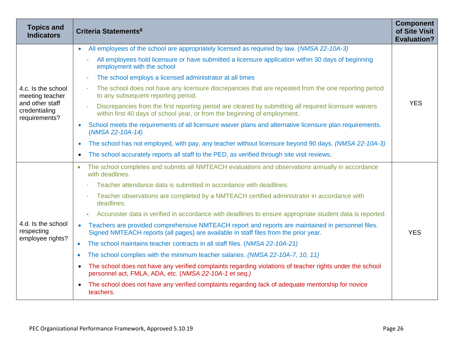| <b>Topics and</b><br><b>Indicators</b>                                                     | Criteria Statements <sup>8</sup>                                                                                                                                                                                | <b>Component</b><br>of Site Visit<br><b>Evaluation?</b> |
|--------------------------------------------------------------------------------------------|-----------------------------------------------------------------------------------------------------------------------------------------------------------------------------------------------------------------|---------------------------------------------------------|
| 4.c. Is the school<br>meeting teacher<br>and other staff<br>credentialing<br>requirements? | All employees of the school are appropriately licensed as required by law. (NMSA 22-10A-3)<br>$\bullet$                                                                                                         |                                                         |
|                                                                                            | All employees hold licensure or have submitted a licensure application within 30 days of beginning<br>employment with the school                                                                                |                                                         |
|                                                                                            | The school employs a licensed administrator at all times                                                                                                                                                        | <b>YES</b>                                              |
|                                                                                            | The school does not have any licensure discrepancies that are repeated from the one reporting period<br>$\overline{\phantom{a}}$<br>to any subsequent reporting period.                                         |                                                         |
|                                                                                            | Discrepancies from the first reporting period are cleared by submitting all required licensure waivers<br>$\overline{\phantom{a}}$<br>within first 40 days of school year, or from the beginning of employment. |                                                         |
|                                                                                            | School meets the requirements of all licensure waiver plans and alternative licensure plan requirements.<br>$\bullet$<br>(NMSA 22-10A-14)                                                                       |                                                         |
|                                                                                            | The school has not employed, with pay, any teacher without licensure beyond 90 days. (NMSA 22-10A-3)<br>$\bullet$                                                                                               |                                                         |
|                                                                                            | The school accurately reports all staff to the PED, as verified through site visit reviews.<br>$\bullet$                                                                                                        |                                                         |
|                                                                                            | The school completes and submits all NMTEACH evaluations and observations annually in accordance<br>with deadlines.                                                                                             |                                                         |
|                                                                                            | Teacher attendance data is submitted in accordance with deadlines.                                                                                                                                              |                                                         |
|                                                                                            | Teacher observations are completed by a NMTEACH certified administrator in accordance with<br>deadlines.                                                                                                        |                                                         |
|                                                                                            | Accuroster data is verified in accordance with deadlines to ensure appropriate student data is reported.                                                                                                        |                                                         |
| 4.d. Is the school<br>respecting<br>employee rights?                                       | Teachers are provided comprehensive NMTEACH report and reports are maintained in personnel files.<br>$\bullet$<br>Signed NMTEACH reports (all pages) are available in staff files from the prior year.          | <b>YES</b>                                              |
|                                                                                            | The school maintains teacher contracts in all staff files. (NMSA 22-10A-21)<br>$\bullet$                                                                                                                        |                                                         |
|                                                                                            | The school complies with the minimum teacher salaries. (NMSA 22-10A-7, 10, 11)<br>$\bullet$                                                                                                                     |                                                         |
|                                                                                            | The school does not have any verified complaints regarding violations of teacher rights under the school<br>$\bullet$<br>personnel act, FMLA, ADA, etc. (NMSA 22-10A-1 et seq.)                                 |                                                         |
|                                                                                            | The school does not have any verified complaints regarding lack of adequate mentorship for novice<br>$\bullet$<br>teachers.                                                                                     |                                                         |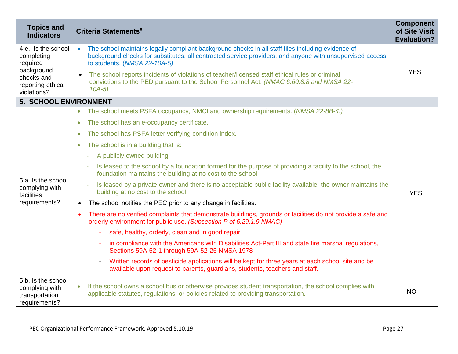| <b>Topics and</b><br><b>Indicators</b>                                                                       | Criteria Statements <sup>8</sup>                                                                                                                                                                                                                           | <b>Component</b><br>of Site Visit<br><b>Evaluation?</b> |
|--------------------------------------------------------------------------------------------------------------|------------------------------------------------------------------------------------------------------------------------------------------------------------------------------------------------------------------------------------------------------------|---------------------------------------------------------|
| 4.e. Is the school<br>completing<br>required<br>background<br>checks and<br>reporting ethical<br>violations? | The school maintains legally compliant background checks in all staff files including evidence of<br>$\bullet$<br>background checks for substitutes, all contracted service providers, and anyone with unsupervised access<br>to students. (NMSA 22-10A-5) | <b>YES</b>                                              |
|                                                                                                              | The school reports incidents of violations of teacher/licensed staff ethical rules or criminal<br>convictions to the PED pursuant to the School Personnel Act. (NMAC 6.60.8.8 and NMSA 22-<br>$10A-5)$                                                     |                                                         |
| 5. SCHOOL ENVIRONMENT                                                                                        |                                                                                                                                                                                                                                                            |                                                         |
|                                                                                                              | The school meets PSFA occupancy, NMCI and ownership requirements. (NMSA 22-8B-4.)<br>$\bullet$                                                                                                                                                             |                                                         |
|                                                                                                              | The school has an e-occupancy certificate.<br>$\bullet$                                                                                                                                                                                                    | <b>YES</b>                                              |
|                                                                                                              | The school has PSFA letter verifying condition index.<br>$\bullet$                                                                                                                                                                                         |                                                         |
|                                                                                                              | The school is in a building that is:<br>$\bullet$                                                                                                                                                                                                          |                                                         |
|                                                                                                              | A publicly owned building                                                                                                                                                                                                                                  |                                                         |
|                                                                                                              | Is leased to the school by a foundation formed for the purpose of providing a facility to the school, the<br>foundation maintains the building at no cost to the school                                                                                    |                                                         |
| 5.a. Is the school<br>complying with<br>facilities                                                           | Is leased by a private owner and there is no acceptable public facility available, the owner maintains the<br>building at no cost to the school.                                                                                                           |                                                         |
| requirements?                                                                                                | The school notifies the PEC prior to any change in facilities.<br>$\bullet$                                                                                                                                                                                |                                                         |
|                                                                                                              | There are no verified complaints that demonstrate buildings, grounds or facilities do not provide a safe and<br>orderly environment for public use. (Subsection P of 6.29.1.9 NMAC)                                                                        |                                                         |
|                                                                                                              | safe, healthy, orderly, clean and in good repair                                                                                                                                                                                                           |                                                         |
|                                                                                                              | in compliance with the Americans with Disabilities Act-Part III and state fire marshal regulations,<br>Sections 59A-52-1 through 59A-52-25 NMSA 1978                                                                                                       |                                                         |
|                                                                                                              | Written records of pesticide applications will be kept for three years at each school site and be<br>$\overline{\phantom{a}}$<br>available upon request to parents, guardians, students, teachers and staff.                                               |                                                         |
| 5.b. Is the school<br>complying with<br>transportation<br>requirements?                                      | If the school owns a school bus or otherwise provides student transportation, the school complies with<br>$\bullet$<br>applicable statutes, regulations, or policies related to providing transportation.                                                  | <b>NO</b>                                               |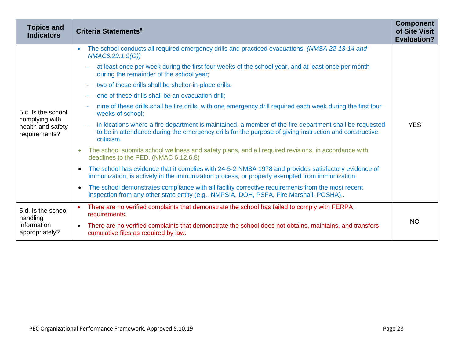| <b>Topics and</b><br><b>Indicators</b>                                     | Criteria Statements <sup>8</sup>                                                                                                                                                                                                                           | <b>Component</b><br>of Site Visit<br><b>Evaluation?</b> |
|----------------------------------------------------------------------------|------------------------------------------------------------------------------------------------------------------------------------------------------------------------------------------------------------------------------------------------------------|---------------------------------------------------------|
|                                                                            | The school conducts all required emergency drills and practiced evacuations. (NMSA 22-13-14 and<br>NMAC6.29.1.9(O))                                                                                                                                        |                                                         |
|                                                                            | at least once per week during the first four weeks of the school year, and at least once per month<br>during the remainder of the school year;                                                                                                             |                                                         |
|                                                                            | two of these drills shall be shelter-in-place drills;<br>$\sim$                                                                                                                                                                                            |                                                         |
|                                                                            | one of these drills shall be an evacuation drill;                                                                                                                                                                                                          |                                                         |
| 5.c. Is the school<br>complying with<br>health and safety<br>requirements? | nine of these drills shall be fire drills, with one emergency drill required each week during the first four<br>weeks of school;                                                                                                                           |                                                         |
|                                                                            | in locations where a fire department is maintained, a member of the fire department shall be requested<br>$\overline{\phantom{a}}$<br>to be in attendance during the emergency drills for the purpose of giving instruction and constructive<br>criticism. | <b>YES</b>                                              |
|                                                                            | The school submits school wellness and safety plans, and all required revisions, in accordance with<br>deadlines to the PED. (NMAC 6.12.6.8)                                                                                                               |                                                         |
|                                                                            | The school has evidence that it complies with 24-5-2 NMSA 1978 and provides satisfactory evidence of<br>immunization, is actively in the immunization process, or properly exempted from immunization.                                                     |                                                         |
|                                                                            | The school demonstrates compliance with all facility corrective requirements from the most recent<br>$\bullet$<br>inspection from any other state entity (e.g., NMPSIA, DOH, PSFA, Fire Marshall, POSHA)                                                   |                                                         |
| 5.d. Is the school<br>handling<br>information<br>appropriately?            | There are no verified complaints that demonstrate the school has failed to comply with FERPA<br>$\bullet$<br>requirements.                                                                                                                                 |                                                         |
|                                                                            | • There are no verified complaints that demonstrate the school does not obtains, maintains, and transfers<br>cumulative files as required by law.                                                                                                          | <b>NO</b>                                               |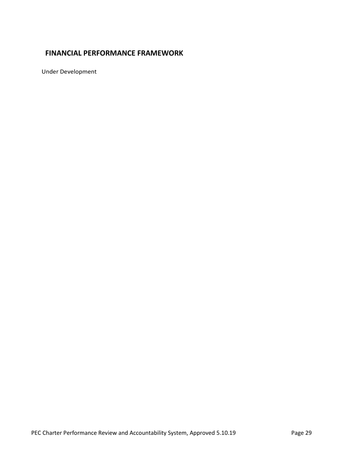## <span id="page-28-0"></span>**FINANCIAL PERFORMANCE FRAMEWORK**

Under Development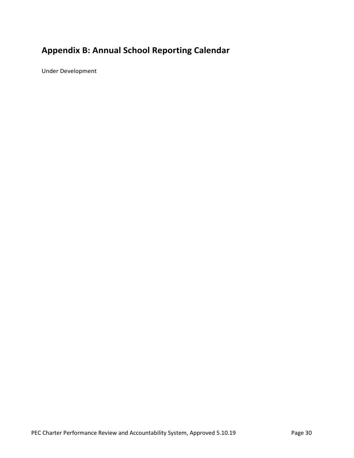## <span id="page-29-0"></span>**Appendix B: Annual School Reporting Calendar**

Under Development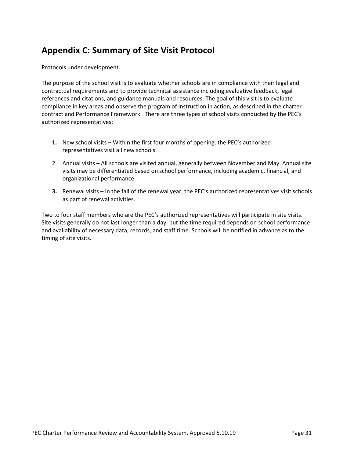## <span id="page-30-0"></span>**Appendix C: Summary of Site Visit Protocol**

Protocols under development.

The purpose of the school visit is to evaluate whether schools are in compliance with their legal and contractual requirements and to provide technical assistance including evaluative feedback, legal references and citations, and guidance manuals and resources. The goal of this visit is to evaluate compliance in key areas and observe the program of instruction in action, as described in the charter contract and Performance Framework. There are three types of school visits conducted by the PEC's authorized representatives:

- **1.** New school visits Within the first four months of opening, the PEC's authorized representatives visit all new schools.
- 2. Annual visits All schools are visited annual, generally between November and May. Annual site visits may be differentiated based on school performance, including academic, financial, and organizational performance.
- **3.** Renewal visits In the fall of the renewal year, the PEC's authorized representatives visit schools as part of renewal activities.

Two to four staff members who are the PEC's authorized representatives will participate in site visits. Site visits generally do not last longer than a day, but the time required depends on school performance and availability of necessary data, records, and staff time. Schools will be notified in advance as to the timing of site visits.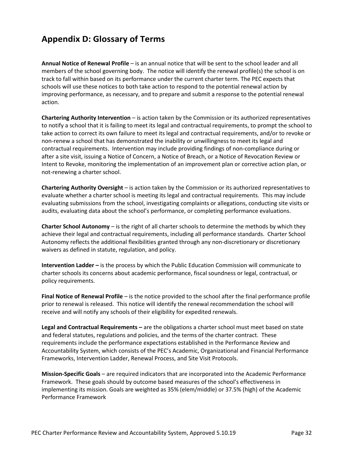## <span id="page-31-0"></span>**Appendix D: Glossary of Terms**

**Annual Notice of Renewal Profile** – is an annual notice that will be sent to the school leader and all members of the school governing body. The notice will identify the renewal profile(s) the school is on track to fall within based on its performance under the current charter term. The PEC expects that schools will use these notices to both take action to respond to the potential renewal action by improving performance, as necessary, and to prepare and submit a response to the potential renewal action.

**Chartering Authority Intervention** – is action taken by the Commission or its authorized representatives to notify a school that it is failing to meet its legal and contractual requirements, to prompt the school to take action to correct its own failure to meet its legal and contractual requirements, and/or to revoke or non-renew a school that has demonstrated the inability or unwillingness to meet its legal and contractual requirements. Intervention may include providing findings of non-compliance during or after a site visit, issuing a Notice of Concern, a Notice of Breach, or a Notice of Revocation Review or Intent to Revoke, monitoring the implementation of an improvement plan or corrective action plan, or not-renewing a charter school.

**Chartering Authority Oversight** – is action taken by the Commission or its authorized representatives to evaluate whether a charter school is meeting its legal and contractual requirements. This may include evaluating submissions from the school, investigating complaints or allegations, conducting site visits or audits, evaluating data about the school's performance, or completing performance evaluations.

**Charter School Autonomy** – is the right of all charter schools to determine the methods by which they achieve their legal and contractual requirements, including all performance standards. Charter School Autonomy reflects the additional flexibilities granted through any non-discretionary or discretionary waivers as defined in statute, regulation, and policy.

**Intervention Ladder –** is the process by which the Public Education Commission will communicate to charter schools its concerns about academic performance, fiscal soundness or legal, contractual, or policy requirements.

**Final Notice of Renewal Profile** – is the notice provided to the school after the final performance profile prior to renewal is released. This notice will identify the renewal recommendation the school will receive and will notify any schools of their eligibility for expedited renewals.

**Legal and Contractual Requirements –** are the obligations a charter school must meet based on state and federal statutes, regulations and policies, and the terms of the charter contract. These requirements include the performance expectations established in the Performance Review and Accountability System, which consists of the PEC's Academic, Organizational and Financial Performance Frameworks, Intervention Ladder, Renewal Process, and Site Visit Protocols.

**Mission-Specific Goals** – are required indicators that are incorporated into the Academic Performance Framework. These goals should by outcome based measures of the school's effectiveness in implementing its mission. Goals are weighted as 35% (elem/middle) or 37.5% (high) of the Academic Performance Framework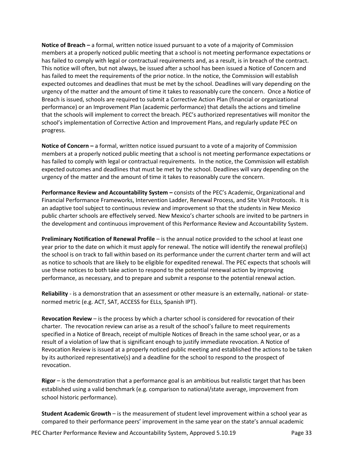**Notice of Breach –** a formal, written notice issued pursuant to a vote of a majority of Commission members at a properly noticed public meeting that a school is not meeting performance expectations or has failed to comply with legal or contractual requirements and, as a result, is in breach of the contract. This notice will often, but not always, be issued after a school has been issued a Notice of Concern and has failed to meet the requirements of the prior notice. In the notice, the Commission will establish expected outcomes and deadlines that must be met by the school. Deadlines will vary depending on the urgency of the matter and the amount of time it takes to reasonably cure the concern. Once a Notice of Breach is issued, schools are required to submit a Corrective Action Plan (financial or organizational performance) or an Improvement Plan (academic performance) that details the actions and timeline that the schools will implement to correct the breach. PEC's authorized representatives will monitor the school's implementation of Corrective Action and Improvement Plans, and regularly update PEC on progress.

**Notice of Concern –** a formal, written notice issued pursuant to a vote of a majority of Commission members at a properly noticed public meeting that a school is not meeting performance expectations or has failed to comply with legal or contractual requirements. In the notice, the Commission will establish expected outcomes and deadlines that must be met by the school. Deadlines will vary depending on the urgency of the matter and the amount of time it takes to reasonably cure the concern.

**Performance Review and Accountability System –** consists of the PEC's Academic, Organizational and Financial Performance Frameworks, Intervention Ladder, Renewal Process, and Site Visit Protocols. It is an adaptive tool subject to continuous review and improvement so that the students in New Mexico public charter schools are effectively served. New Mexico's charter schools are invited to be partners in the development and continuous improvement of this Performance Review and Accountability System.

**Preliminary Notification of Renewal Profile** – is the annual notice provided to the school at least one year prior to the date on which it must apply for renewal. The notice will identify the renewal profile(s) the school is on track to fall within based on its performance under the current charter term and will act as notice to schools that are likely to be eligible for expedited renewal. The PEC expects that schools will use these notices to both take action to respond to the potential renewal action by improving performance, as necessary, and to prepare and submit a response to the potential renewal action.

**Reliability** - is a demonstration that an assessment or other measure is an externally, national- or statenormed metric (e.g. ACT, SAT, ACCESS for ELLs, Spanish IPT).

**Revocation Review** – is the process by which a charter school is considered for revocation of their charter. The revocation review can arise as a result of the school's failure to meet requirements specified in a Notice of Breach, receipt of multiple Notices of Breach in the same school year, or as a result of a violation of law that is significant enough to justify immediate revocation. A Notice of Revocation Review is issued at a properly noticed public meeting and established the actions to be taken by its authorized representative(s) and a deadline for the school to respond to the prospect of revocation.

**Rigor** – is the demonstration that a performance goal is an ambitious but realistic target that has been established using a valid benchmark (e.g. comparison to national/state average, improvement from school historic performance).

**Student Academic Growth** – is the measurement of student level improvement within a school year as compared to their performance peers' improvement in the same year on the state's annual academic